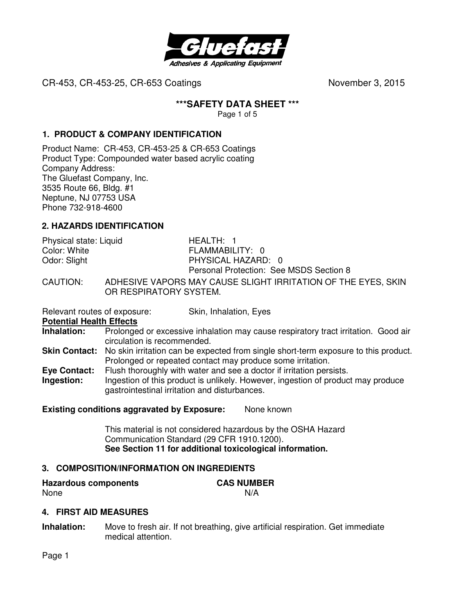

## **\*\*\*SAFETY DATA SHEET \*\*\***

Page 1 of 5

## **1. PRODUCT & COMPANY IDENTIFICATION**

Product Name: CR-453, CR-453-25 & CR-653 Coatings Product Type: Compounded water based acrylic coating Company Address: The Gluefast Company, Inc. 3535 Route 66, Bldg. #1 Neptune, NJ 07753 USA Phone 732-918-4600

# **2. HAZARDS IDENTIFICATION**

| Physical state: Liquid | $HFAITHI$ 1                                                 |
|------------------------|-------------------------------------------------------------|
| Color: White           | FLAMMABILITY: 0                                             |
| Odor: Slight           | PHYSICAL HAZARD: 0                                          |
|                        | Personal Protection: See MSDS Section 8                     |
| CALITION.              | ANHESIVE VAPORS MAY CALISE SLIGHT IRRITATION OF THE EVES IS |

CAUTION: ADHESIVE VAPORS MAY CAUSE SLIGHT IRRITATION OF THE EYES, SKIN OR RESPIRATORY SYSTEM.

Relevant routes of exposure: Skin, Inhalation, Eyes

**Potential Health Effects** 

**Inhalation:** Prolonged or excessive inhalation may cause respiratory tract irritation. Good air circulation is recommended.

- **Skin Contact:** No skin irritation can be expected from single short-term exposure to this product. Prolonged or repeated contact may produce some irritation.
- **Eye Contact:** Flush thoroughly with water and see a doctor if irritation persists.<br>Ingestion: lngestion of this product is unlikely. However, ingestion of produc Ingestion of this product is unlikely. However, ingestion of product may produce
- 

gastrointestinal irritation and disturbances.

**Existing conditions aggravated by Exposure:** None known

This material is not considered hazardous by the OSHA Hazard Communication Standard (29 CFR 1910.1200). **See Section 11 for additional toxicological information.** 

### **3. COMPOSITION/INFORMATION ON INGREDIENTS**

**Hazardous components CAS NUMBER**  None N/A

### **4. FIRST AID MEASURES**

**Inhalation:** Move to fresh air. If not breathing, give artificial respiration. Get immediate medical attention.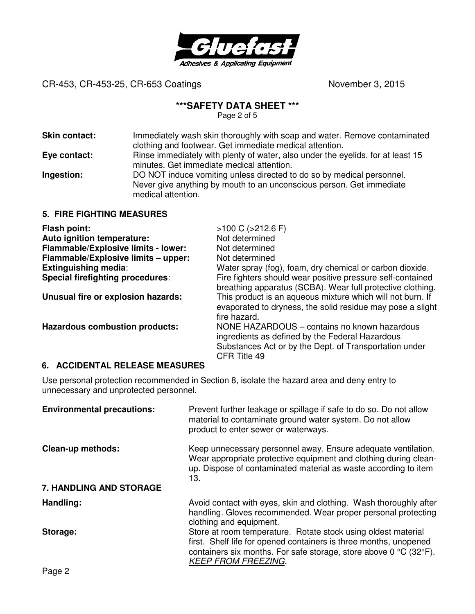

## **\*\*\*SAFETY DATA SHEET \*\*\***

Page 2 of 5

| <b>Skin contact:</b> | Immediately wash skin thoroughly with soap and water. Remove contaminated<br>clothing and footwear. Get immediate medical attention.                                |
|----------------------|---------------------------------------------------------------------------------------------------------------------------------------------------------------------|
| Eye contact:         | Rinse immediately with plenty of water, also under the eyelids, for at least 15<br>minutes. Get immediate medical attention.                                        |
| Ingestion:           | DO NOT induce vomiting unless directed to do so by medical personnel.<br>Never give anything by mouth to an unconscious person. Get immediate<br>medical attention. |

# **5. FIRE FIGHTING MEASURES**

| Flash point:                          | $>100$ C ( $>212.6$ F)                                                                                                                                                    |
|---------------------------------------|---------------------------------------------------------------------------------------------------------------------------------------------------------------------------|
| Auto ignition temperature:            | Not determined                                                                                                                                                            |
| Flammable/Explosive limits - lower:   | Not determined                                                                                                                                                            |
| Flammable/Explosive limits - upper:   | Not determined                                                                                                                                                            |
| <b>Extinguishing media:</b>           | Water spray (fog), foam, dry chemical or carbon dioxide.                                                                                                                  |
| Special firefighting procedures:      | Fire fighters should wear positive pressure self-contained<br>breathing apparatus (SCBA). Wear full protective clothing.                                                  |
| Unusual fire or explosion hazards:    | This product is an aqueous mixture which will not burn. If<br>evaporated to dryness, the solid residue may pose a slight<br>fire hazard.                                  |
| <b>Hazardous combustion products:</b> | NONE HAZARDOUS - contains no known hazardous<br>ingredients as defined by the Federal Hazardous<br>Substances Act or by the Dept. of Transportation under<br>CFR Title 49 |

### **6. ACCIDENTAL RELEASE MEASURES**

Use personal protection recommended in Section 8, isolate the hazard area and deny entry to unnecessary and unprotected personnel.

| Prevent further leakage or spillage if safe to do so. Do not allow<br>material to contaminate ground water system. Do not allow<br>product to enter sewer or waterways.                                                                                  |
|----------------------------------------------------------------------------------------------------------------------------------------------------------------------------------------------------------------------------------------------------------|
| Keep unnecessary personnel away. Ensure adequate ventilation.<br>Wear appropriate protective equipment and clothing during clean-<br>up. Dispose of contaminated material as waste according to item<br>13.                                              |
|                                                                                                                                                                                                                                                          |
| Avoid contact with eyes, skin and clothing. Wash thoroughly after<br>handling. Gloves recommended. Wear proper personal protecting<br>clothing and equipment.                                                                                            |
| Store at room temperature. Rotate stock using oldest material<br>first. Shelf life for opened containers is three months, unopened<br>containers six months. For safe storage, store above $0^{\circ}C$ (32 $^{\circ}F$ ).<br><b>KEEP FROM FREEZING.</b> |
|                                                                                                                                                                                                                                                          |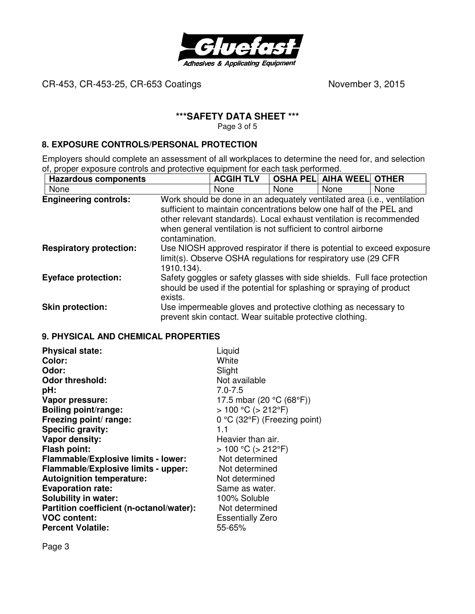

# **\*\*\*SAFETY DATA SHEET \*\*\***

Page 3 of 5

## **8. EXPOSURE CONTROLS/PERSONAL PROTECTION**

Employers should complete an assessment of all workplaces to determine the need for, and selection of, proper exposure controls and protective equipment for each task performed.

| <b>Hazardous components</b>    |                | <b>ACGIH TLV</b>                                                                                                                                                                                                                                                                        | <b>OSHA PELI</b> | <b>AIHA WEEL OTHER</b> |                                                                        |
|--------------------------------|----------------|-----------------------------------------------------------------------------------------------------------------------------------------------------------------------------------------------------------------------------------------------------------------------------------------|------------------|------------------------|------------------------------------------------------------------------|
| None                           |                | None                                                                                                                                                                                                                                                                                    | <b>None</b>      | <b>None</b>            | None                                                                   |
| <b>Engineering controls:</b>   | contamination. | Work should be done in an adequately ventilated area (i.e., ventilation<br>sufficient to maintain concentrations below one half of the PEL and<br>other relevant standards). Local exhaust ventilation is recommended<br>when general ventilation is not sufficient to control airborne |                  |                        |                                                                        |
| <b>Respiratory protection:</b> | 1910.134).     | limit(s). Observe OSHA regulations for respiratory use (29 CFR                                                                                                                                                                                                                          |                  |                        | Use NIOSH approved respirator if there is potential to exceed exposure |
| <b>Eyeface protection:</b>     | exists.        | Safety goggles or safety glasses with side shields. Full face protection<br>should be used if the potential for splashing or spraying of product                                                                                                                                        |                  |                        |                                                                        |
| <b>Skin protection:</b>        |                | Use impermeable gloves and protective clothing as necessary to<br>prevent skin contact. Wear suitable protective clothing.                                                                                                                                                              |                  |                        |                                                                        |

### **9. PHYSICAL AND CHEMICAL PROPERTIES**

| <b>Physical state:</b>                   | Liquid                         |
|------------------------------------------|--------------------------------|
| Color:                                   | White                          |
| Odor:                                    | Slight                         |
| <b>Odor threshold:</b>                   | Not available                  |
| pH:                                      | $7.0 - 7.5$                    |
| Vapor pressure:                          | 17.5 mbar (20 °C (68°F))       |
| <b>Boiling point/range:</b>              | $> 100 °C$ ( $> 212 °F$ )      |
| Freezing point/ range:                   | $0 °C$ (32°F) (Freezing point) |
| Specific gravity:                        | 1.1                            |
| Vapor density:                           | Heavier than air.              |
| <b>Flash point:</b>                      | $> 100 °C$ ( $> 212 °F$ )      |
| Flammable/Explosive limits - lower:      | Not determined                 |
| Flammable/Explosive limits - upper:      | Not determined                 |
| <b>Autoignition temperature:</b>         | Not determined                 |
| <b>Evaporation rate:</b>                 | Same as water.                 |
| <b>Solubility in water:</b>              | 100% Soluble                   |
| Partition coefficient (n-octanol/water): | Not determined                 |
| <b>VOC content:</b>                      | <b>Essentially Zero</b>        |
| <b>Percent Volatile:</b>                 | 55-65%                         |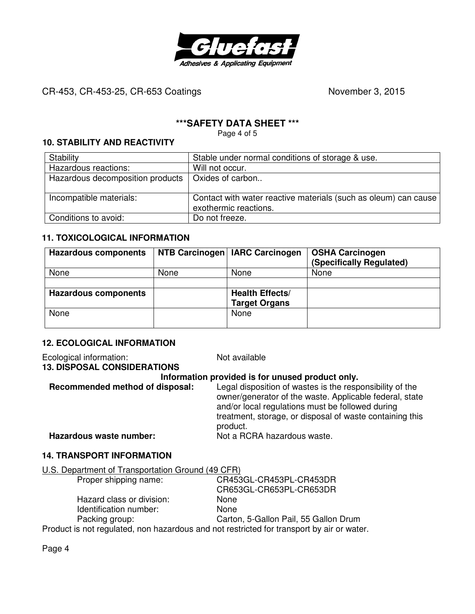

# **\*\*\*SAFETY DATA SHEET \*\*\***

Page 4 of 5

## **10. STABILITY AND REACTIVITY**

| Stability                                           | Stable under normal conditions of storage & use.                                         |
|-----------------------------------------------------|------------------------------------------------------------------------------------------|
| Hazardous reactions:                                | Will not occur.                                                                          |
| Hazardous decomposition products   Oxides of carbon |                                                                                          |
|                                                     |                                                                                          |
| Incompatible materials:                             | Contact with water reactive materials (such as oleum) can cause<br>exothermic reactions. |
| Conditions to avoid:                                | Do not freeze.                                                                           |

## **11. TOXICOLOGICAL INFORMATION**

| <b>Hazardous components</b> |      | NTB Carcinogen   IARC Carcinogen               | <b>OSHA Carcinogen</b><br>(Specifically Regulated) |
|-----------------------------|------|------------------------------------------------|----------------------------------------------------|
| None                        | None | None                                           | None                                               |
|                             |      |                                                |                                                    |
| <b>Hazardous components</b> |      | <b>Health Effects/</b><br><b>Target Organs</b> |                                                    |
| None                        |      | None                                           |                                                    |

# **12. ECOLOGICAL INFORMATION**

Ecological information: Not available **13. DISPOSAL CONSIDERATIONS Information provided is for unused product only. Recommended method of disposal:** Legal disposition of wastes is the responsibility of the owner/generator of the waste. Applicable federal, state and/or local regulations must be followed during treatment, storage, or disposal of waste containing this product. **Hazardous waste number:** Not a RCRA hazardous waste.

### **14. TRANSPORT INFORMATION**

| U.S. Department of Transportation Ground (49 CFR) |                         |
|---------------------------------------------------|-------------------------|
| Proper shipping name:                             | CR453GL-CR453PL-CR453DR |
|                                                   | CR653GL-CR653PL-CR653DR |

|                           | CR653GL-CR653PL-CR653DR               |
|---------------------------|---------------------------------------|
| Hazard class or division: | None                                  |
| Identification number:    | <b>None</b>                           |
| Packing group:            | Carton, 5-Gallon Pail, 55 Gallon Drum |
|                           |                                       |

Product is not regulated, non hazardous and not restricted for transport by air or water.